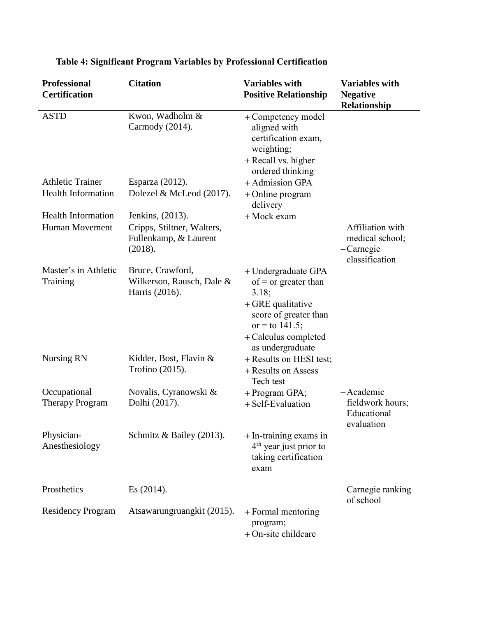| <b>Professional</b><br><b>Certification</b> | <b>Citation</b>                                                 | <b>Variables with</b><br><b>Positive Relationship</b>                                                                                                              | <b>Variables with</b><br><b>Negative</b><br>Relationship            |
|---------------------------------------------|-----------------------------------------------------------------|--------------------------------------------------------------------------------------------------------------------------------------------------------------------|---------------------------------------------------------------------|
| <b>ASTD</b>                                 | Kwon, Wadholm &<br>Carmody (2014).                              | + Competency model<br>aligned with<br>certification exam,<br>weighting;<br>+ Recall vs. higher<br>ordered thinking                                                 |                                                                     |
| <b>Athletic Trainer</b>                     | Esparza (2012).                                                 | + Admission GPA                                                                                                                                                    |                                                                     |
| <b>Health Information</b>                   | Dolezel & McLeod (2017).                                        | + Online program<br>delivery                                                                                                                                       |                                                                     |
| <b>Health Information</b>                   | Jenkins, (2013).                                                | + Mock exam                                                                                                                                                        |                                                                     |
| <b>Human Movement</b>                       | Cripps, Stiltner, Walters,<br>Fullenkamp, & Laurent<br>(2018).  |                                                                                                                                                                    | -Affiliation with<br>medical school;<br>-Carnegie<br>classification |
| Master's in Athletic<br>Training            | Bruce, Crawford,<br>Wilkerson, Rausch, Dale &<br>Harris (2016). | + Undergraduate GPA<br>of = or greater than<br>3.18;<br>$+$ GRE qualitative<br>score of greater than<br>or = to 141.5;<br>+ Calculus completed<br>as undergraduate |                                                                     |
| <b>Nursing RN</b>                           | Kidder, Bost, Flavin &<br>Trofino (2015).                       | + Results on HESI test;<br>+ Results on Assess<br>Tech test                                                                                                        |                                                                     |
| Occupational<br><b>Therapy Program</b>      | Novalis, Cyranowski &<br>Dolhi (2017).                          | $+$ Program GPA;<br>+ Self-Evaluation                                                                                                                              | -Academic<br>fieldwork hours;<br>-Educational<br>evaluation         |
| Physician-<br>Anesthesiology                | Schmitz & Bailey (2013).                                        | + In-training exams in<br>4 <sup>th</sup> year just prior to<br>taking certification<br>exam                                                                       |                                                                     |
| Prosthetics                                 | Es (2014).                                                      |                                                                                                                                                                    | -Carnegie ranking<br>of school                                      |
| <b>Residency Program</b>                    | Atsawarungruangkit (2015).                                      | $+$ Formal mentoring<br>program;<br>+ On-site childcare                                                                                                            |                                                                     |

## **Table 4: Significant Program Variables by Professional Certification**